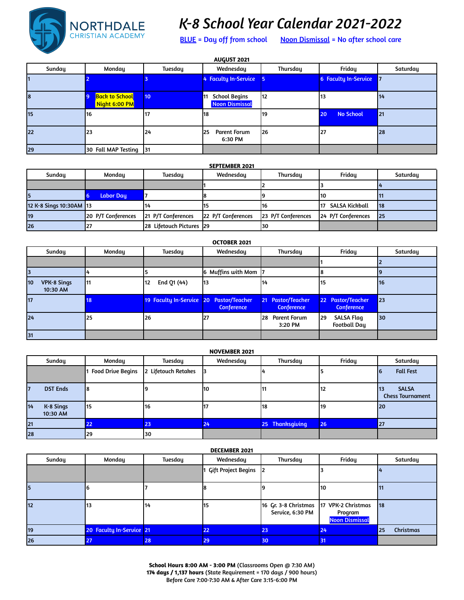

## *K-8 School Year Calendar 2021-2022*

BLUE = Day off from school Noon Dismissal = No after school care

| <b>AUGUST 2021</b> |                                        |         |                                                     |          |                        |          |  |  |  |
|--------------------|----------------------------------------|---------|-----------------------------------------------------|----------|------------------------|----------|--|--|--|
| Sunday             | Monday                                 | Tuesday | Wednesday                                           | Thursday | Friday                 | Saturday |  |  |  |
|                    |                                        |         | 4 Faculty In-Service                                |          | 6 Faculty In-Service 7 |          |  |  |  |
| 18                 | <b>Back to School</b><br>Night 6:00 PM | 10      | <b>School Begins</b><br>11<br><b>Noon Dismissal</b> | 112      | 13                     | 14       |  |  |  |
| 15                 | 16                                     | 117     | 118                                                 | 119      | <b>No School</b><br>20 | 21       |  |  |  |
| 22                 | 23                                     | 124     | <b>Parent Forum</b><br>125<br>6:30 PM               | 126      | 27                     | 28       |  |  |  |
| 29                 | 30 Fall MAP Testing 131                |         |                                                     |          |                        |          |  |  |  |

|    | <b>SEPTEMBER 2021</b>   |                    |                          |                    |                    |                    |          |  |  |  |
|----|-------------------------|--------------------|--------------------------|--------------------|--------------------|--------------------|----------|--|--|--|
|    | Sunday                  | Monday             | Tuesday                  | Wednesdau          | Thursday           | Fridau             | Saturday |  |  |  |
|    |                         |                    |                          |                    |                    |                    |          |  |  |  |
|    |                         | <b>Labor Day</b>   |                          |                    |                    | 110                |          |  |  |  |
|    | 12 K-8 Sings 10:30AM 13 |                    | 14                       |                    | 16                 | SALSA Kickball     | 18       |  |  |  |
| 19 |                         | 20 P/T Conferences | 21 P/T Conferences       | 22 P/T Conferences | 23 P/T Conferences | 24 P/T Conferences | 25       |  |  |  |
| 26 |                         |                    | 28 Lifetouch Pictures 29 |                    | 130                |                    |          |  |  |  |

| <b>OCTOBER 2021</b>                  |        |                                         |                    |                                                               |                                                 |          |  |  |  |
|--------------------------------------|--------|-----------------------------------------|--------------------|---------------------------------------------------------------|-------------------------------------------------|----------|--|--|--|
| Sunday                               | Monday | <b>Tuesday</b>                          | Wednesday          | Thursday                                                      | Friday                                          | Saturday |  |  |  |
|                                      |        |                                         |                    |                                                               |                                                 |          |  |  |  |
|                                      |        |                                         | 6 Muffins with Mom |                                                               |                                                 |          |  |  |  |
| <b>VPK-8 Sings</b><br>10<br>10:30 AM | 11     | End Q1 (44)<br>112                      | l13                | 114                                                           | 15                                              | 16       |  |  |  |
| <b>17</b>                            | 18     | 19 Faculty In-Service 20 Pastor/Teacher | <b>Conference</b>  | <b>Pastor/Teacher</b><br>21 <sup>2</sup><br><b>Conference</b> | 22 Pastor/Teacher<br><b>Conference</b>          | 23       |  |  |  |
| 24                                   | 25     | <b>26</b>                               | 127                | l28<br><b>Parent Forum</b><br>3:20 PM                         | <b>SALSA Flag</b><br>l29<br><b>Football Day</b> | 30       |  |  |  |
| 31                                   |        |                                         |                    |                                                               |                                                 |          |  |  |  |

| <b>NOVEMBER 2021</b>          |                          |                     |            |                 |        |                                                |  |  |  |
|-------------------------------|--------------------------|---------------------|------------|-----------------|--------|------------------------------------------------|--|--|--|
| Sunday                        | Monday                   | Tuesday             | Wednesday  | Thursday        | Friday | Saturday                                       |  |  |  |
|                               | <b>Food Drive Begins</b> | 2 Lifetouch Retakes |            |                 |        | <b>Fall Fest</b>                               |  |  |  |
| <b>DST Ends</b><br>17         |                          |                     | <b>110</b> |                 | 12     | <b>SALSA</b><br>113<br><b>Chess Tournament</b> |  |  |  |
| 14<br>$K-8$ Sings<br>10:30 AM | 115                      | 116                 |            | 18              | 19     | 20                                             |  |  |  |
| 21                            | 22                       | 23                  | 24         | 25 Thanksgiving | 26     | 27                                             |  |  |  |
| 28                            | 29                       | 30                  |            |                 |        |                                                |  |  |  |

| Sunday    | Monday                   | Tuesday | Wednesday             | Thursday                                                      | Friday                           | Saturday        |
|-----------|--------------------------|---------|-----------------------|---------------------------------------------------------------|----------------------------------|-----------------|
|           |                          |         | 1 Gift Project Begins |                                                               |                                  |                 |
| 5         |                          |         | 18                    |                                                               | 110                              | Ш               |
| <b>12</b> | 13                       | 114     | 115                   | 16 Gr. 3-8 Christmas   17 VPK-2 Christmas<br>Service, 6:30 PM | Program<br><b>Noon Dismissal</b> | 18              |
| 19        | 20 Faculty In-Service 21 |         | 22                    | 23                                                            | 24                               | Christmas<br>25 |
| 26        | 27                       | 28      | 29                    | 30                                                            | 31                               |                 |